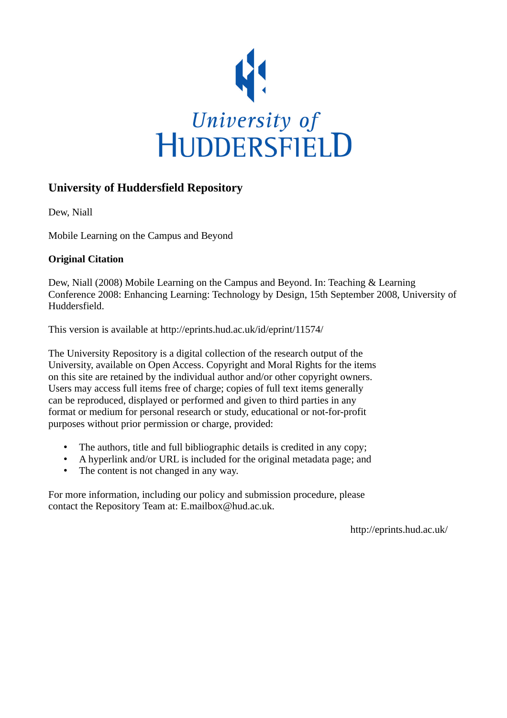

## **University of Huddersfield Repository**

Dew, Niall

Mobile Learning on the Campus and Beyond

#### **Original Citation**

Dew, Niall (2008) Mobile Learning on the Campus and Beyond. In: Teaching & Learning Conference 2008: Enhancing Learning: Technology by Design, 15th September 2008, University of Huddersfield.

This version is available at http://eprints.hud.ac.uk/id/eprint/11574/

The University Repository is a digital collection of the research output of the University, available on Open Access. Copyright and Moral Rights for the items on this site are retained by the individual author and/or other copyright owners. Users may access full items free of charge; copies of full text items generally can be reproduced, displayed or performed and given to third parties in any format or medium for personal research or study, educational or not-for-profit purposes without prior permission or charge, provided:

- The authors, title and full bibliographic details is credited in any copy;
- A hyperlink and/or URL is included for the original metadata page; and
- The content is not changed in any way.

For more information, including our policy and submission procedure, please contact the Repository Team at: E.mailbox@hud.ac.uk.

http://eprints.hud.ac.uk/